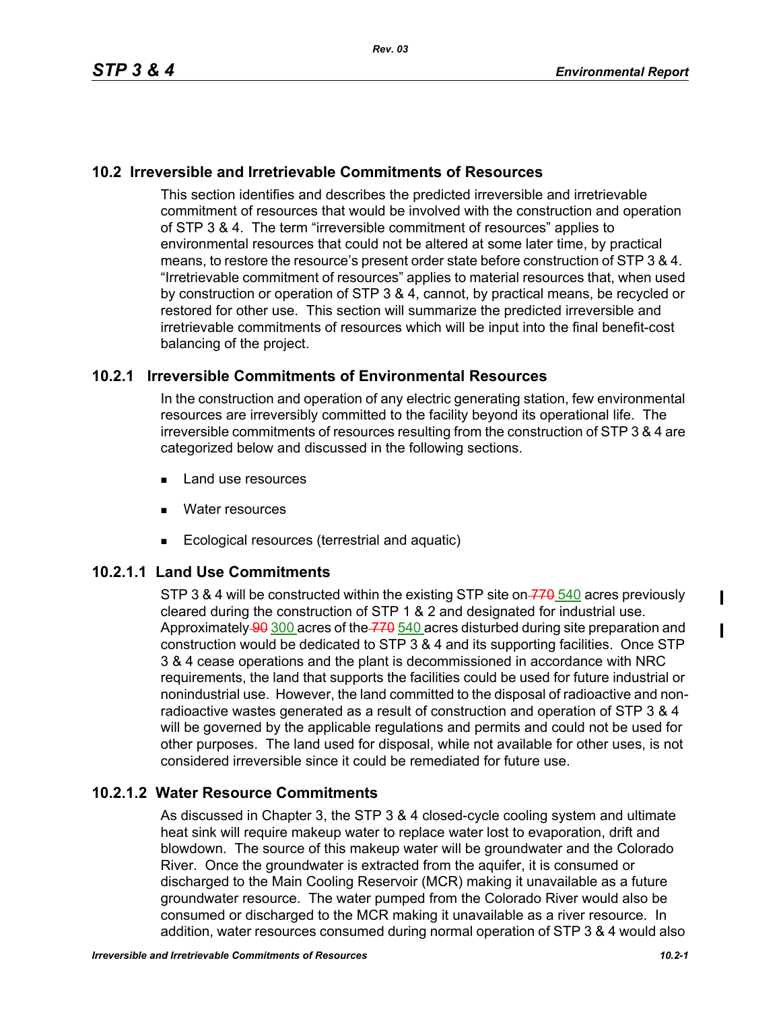### **10.2 Irreversible and Irretrievable Commitments of Resources**

This section identifies and describes the predicted irreversible and irretrievable commitment of resources that would be involved with the construction and operation of STP 3 & 4. The term "irreversible commitment of resources" applies to environmental resources that could not be altered at some later time, by practical means, to restore the resource's present order state before construction of STP 3 & 4. "Irretrievable commitment of resources" applies to material resources that, when used by construction or operation of STP 3 & 4, cannot, by practical means, be recycled or restored for other use. This section will summarize the predicted irreversible and irretrievable commitments of resources which will be input into the final benefit-cost balancing of the project.

#### **10.2.1 Irreversible Commitments of Environmental Resources**

In the construction and operation of any electric generating station, few environmental resources are irreversibly committed to the facility beyond its operational life. The irreversible commitments of resources resulting from the construction of STP 3 & 4 are categorized below and discussed in the following sections.

- **Land use resources**
- **Nater resources**
- Ecological resources (terrestrial and aquatic)

# **10.2.1.1 Land Use Commitments**

STP 3 & 4 will be constructed within the existing STP site on  $\frac{770}{70}$  540 acres previously cleared during the construction of STP 1 & 2 and designated for industrial use. Approximately 90 300 acres of the 770 540 acres disturbed during site preparation and construction would be dedicated to STP 3 & 4 and its supporting facilities. Once STP 3 & 4 cease operations and the plant is decommissioned in accordance with NRC requirements, the land that supports the facilities could be used for future industrial or nonindustrial use. However, the land committed to the disposal of radioactive and nonradioactive wastes generated as a result of construction and operation of STP 3 & 4 will be governed by the applicable regulations and permits and could not be used for other purposes. The land used for disposal, while not available for other uses, is not considered irreversible since it could be remediated for future use.

# **10.2.1.2 Water Resource Commitments**

As discussed in Chapter 3, the STP 3 & 4 closed-cycle cooling system and ultimate heat sink will require makeup water to replace water lost to evaporation, drift and blowdown. The source of this makeup water will be groundwater and the Colorado River. Once the groundwater is extracted from the aquifer, it is consumed or discharged to the Main Cooling Reservoir (MCR) making it unavailable as a future groundwater resource. The water pumped from the Colorado River would also be consumed or discharged to the MCR making it unavailable as a river resource. In addition, water resources consumed during normal operation of STP 3 & 4 would also  $\mathbf I$ 

 $\mathbf I$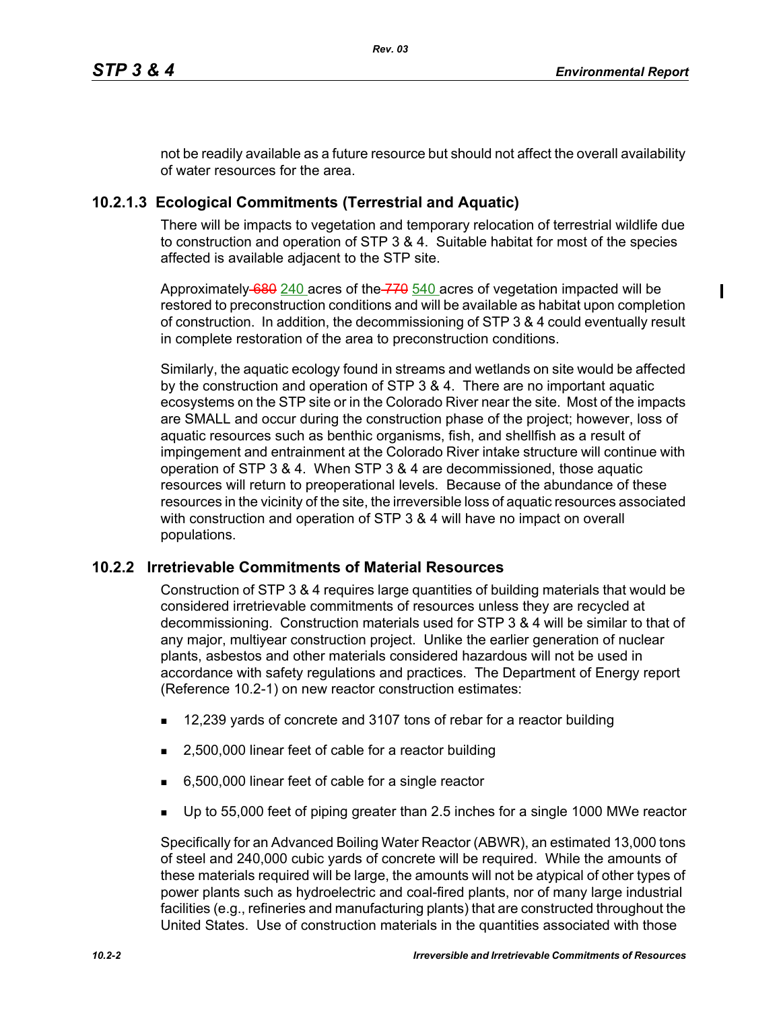not be readily available as a future resource but should not affect the overall availability of water resources for the area.

## **10.2.1.3 Ecological Commitments (Terrestrial and Aquatic)**

There will be impacts to vegetation and temporary relocation of terrestrial wildlife due to construction and operation of STP 3 & 4. Suitable habitat for most of the species affected is available adjacent to the STP site.

Approximately 680 240 acres of the 770 540 acres of vegetation impacted will be restored to preconstruction conditions and will be available as habitat upon completion of construction. In addition, the decommissioning of STP 3 & 4 could eventually result in complete restoration of the area to preconstruction conditions.

Similarly, the aquatic ecology found in streams and wetlands on site would be affected by the construction and operation of STP 3 & 4. There are no important aquatic ecosystems on the STP site or in the Colorado River near the site. Most of the impacts are SMALL and occur during the construction phase of the project; however, loss of aquatic resources such as benthic organisms, fish, and shellfish as a result of impingement and entrainment at the Colorado River intake structure will continue with operation of STP 3 & 4. When STP 3 & 4 are decommissioned, those aquatic resources will return to preoperational levels. Because of the abundance of these resources in the vicinity of the site, the irreversible loss of aquatic resources associated with construction and operation of STP 3 & 4 will have no impact on overall populations.

#### **10.2.2 Irretrievable Commitments of Material Resources**

Construction of STP 3 & 4 requires large quantities of building materials that would be considered irretrievable commitments of resources unless they are recycled at decommissioning. Construction materials used for STP 3 & 4 will be similar to that of any major, multiyear construction project. Unlike the earlier generation of nuclear plants, asbestos and other materials considered hazardous will not be used in accordance with safety regulations and practices. The Department of Energy report (Reference 10.2-1) on new reactor construction estimates:

- 12,239 yards of concrete and 3107 tons of rebar for a reactor building
- 2,500,000 linear feet of cable for a reactor building
- 6,500,000 linear feet of cable for a single reactor
- Up to 55,000 feet of piping greater than 2.5 inches for a single 1000 MWe reactor

Specifically for an Advanced Boiling Water Reactor (ABWR), an estimated 13,000 tons of steel and 240,000 cubic yards of concrete will be required. While the amounts of these materials required will be large, the amounts will not be atypical of other types of power plants such as hydroelectric and coal-fired plants, nor of many large industrial facilities (e.g., refineries and manufacturing plants) that are constructed throughout the United States. Use of construction materials in the quantities associated with those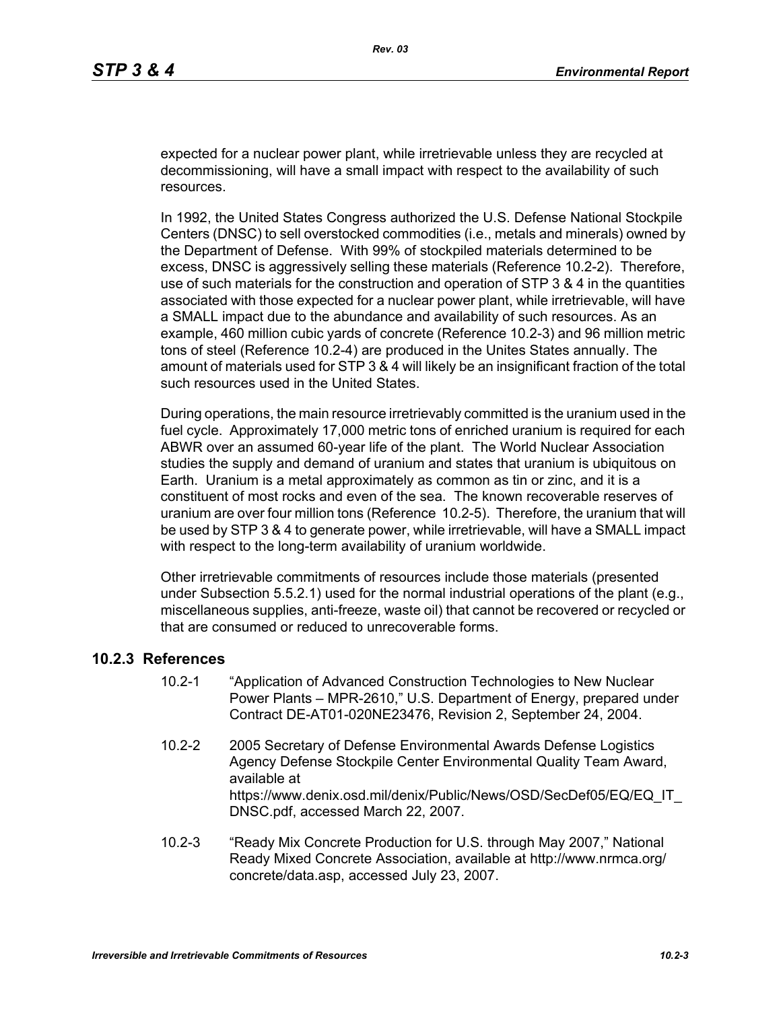expected for a nuclear power plant, while irretrievable unless they are recycled at decommissioning, will have a small impact with respect to the availability of such resources.

In 1992, the United States Congress authorized the U.S. Defense National Stockpile Centers (DNSC) to sell overstocked commodities (i.e., metals and minerals) owned by the Department of Defense. With 99% of stockpiled materials determined to be excess, DNSC is aggressively selling these materials (Reference 10.2-2). Therefore, use of such materials for the construction and operation of STP 3 & 4 in the quantities associated with those expected for a nuclear power plant, while irretrievable, will have a SMALL impact due to the abundance and availability of such resources. As an example, 460 million cubic yards of concrete (Reference 10.2-3) and 96 million metric tons of steel (Reference 10.2-4) are produced in the Unites States annually. The amount of materials used for STP 3 & 4 will likely be an insignificant fraction of the total such resources used in the United States.

During operations, the main resource irretrievably committed is the uranium used in the fuel cycle. Approximately 17,000 metric tons of enriched uranium is required for each ABWR over an assumed 60-year life of the plant. The World Nuclear Association studies the supply and demand of uranium and states that uranium is ubiquitous on Earth. Uranium is a metal approximately as common as tin or zinc, and it is a constituent of most rocks and even of the sea. The known recoverable reserves of uranium are over four million tons (Reference 10.2-5). Therefore, the uranium that will be used by STP 3 & 4 to generate power, while irretrievable, will have a SMALL impact with respect to the long-term availability of uranium worldwide.

Other irretrievable commitments of resources include those materials (presented under Subsection 5.5.2.1) used for the normal industrial operations of the plant (e.g., miscellaneous supplies, anti-freeze, waste oil) that cannot be recovered or recycled or that are consumed or reduced to unrecoverable forms.

#### **10.2.3 References**

- 10.2-1 "Application of Advanced Construction Technologies to New Nuclear Power Plants – MPR-2610," U.S. Department of Energy, prepared under Contract DE-AT01-020NE23476, Revision 2, September 24, 2004.
- 10.2-2 2005 Secretary of Defense Environmental Awards Defense Logistics Agency Defense Stockpile Center Environmental Quality Team Award, available at https://www.denix.osd.mil/denix/Public/News/OSD/SecDef05/EQ/EQ\_IT DNSC.pdf, accessed March 22, 2007.
- 10.2-3 "Ready Mix Concrete Production for U.S. through May 2007," National Ready Mixed Concrete Association, available at http://www.nrmca.org/ concrete/data.asp, accessed July 23, 2007.